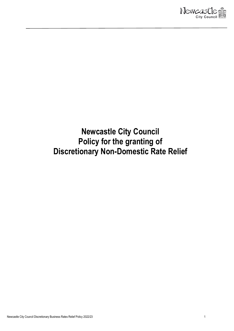

# <span id="page-0-0"></span>**Newcastle City Council Policy for the granting of Discretionary Non-Domestic Rate Relief**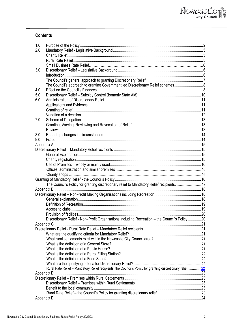### **Contents**

| 1.0 |                                                                                                            |  |
|-----|------------------------------------------------------------------------------------------------------------|--|
| 2.0 |                                                                                                            |  |
|     |                                                                                                            |  |
|     |                                                                                                            |  |
|     |                                                                                                            |  |
| 3.0 |                                                                                                            |  |
|     |                                                                                                            |  |
|     |                                                                                                            |  |
|     | The Council's approach to granting Government led Discretionary Relief schemes                             |  |
| 4.0 |                                                                                                            |  |
| 5.0 |                                                                                                            |  |
| 6.0 |                                                                                                            |  |
|     |                                                                                                            |  |
|     |                                                                                                            |  |
|     |                                                                                                            |  |
| 7.0 |                                                                                                            |  |
|     |                                                                                                            |  |
|     |                                                                                                            |  |
| 8.0 |                                                                                                            |  |
| 9.0 |                                                                                                            |  |
|     |                                                                                                            |  |
|     |                                                                                                            |  |
|     |                                                                                                            |  |
|     |                                                                                                            |  |
|     |                                                                                                            |  |
|     |                                                                                                            |  |
|     |                                                                                                            |  |
|     |                                                                                                            |  |
|     | The Council's Policy for granting discretionary relief to Mandatory Relief recipients. 17                  |  |
|     |                                                                                                            |  |
|     |                                                                                                            |  |
|     |                                                                                                            |  |
|     |                                                                                                            |  |
|     |                                                                                                            |  |
|     |                                                                                                            |  |
|     | Discretionary Relief - Non-Profit Organisations including Recreation - the Council's Policy 20             |  |
|     |                                                                                                            |  |
|     |                                                                                                            |  |
|     |                                                                                                            |  |
|     |                                                                                                            |  |
|     |                                                                                                            |  |
|     |                                                                                                            |  |
|     |                                                                                                            |  |
|     |                                                                                                            |  |
|     |                                                                                                            |  |
|     | Rural Rate Relief - Mandatory Relief recipients, the Council's Policy for granting discretionary relief 22 |  |
|     |                                                                                                            |  |
|     |                                                                                                            |  |
|     |                                                                                                            |  |
|     |                                                                                                            |  |
|     |                                                                                                            |  |
|     |                                                                                                            |  |
|     |                                                                                                            |  |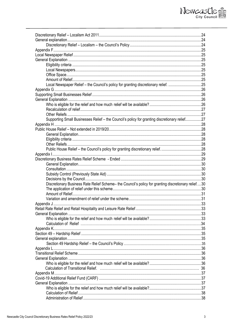# Newcastle

| Local Newspaper Relief - the Council's policy for granting discretionary relief. 25                 |  |
|-----------------------------------------------------------------------------------------------------|--|
|                                                                                                     |  |
|                                                                                                     |  |
|                                                                                                     |  |
|                                                                                                     |  |
|                                                                                                     |  |
|                                                                                                     |  |
| Supporting Small Businesses Relief - the Council's policy for granting discretionary relief27       |  |
|                                                                                                     |  |
|                                                                                                     |  |
|                                                                                                     |  |
|                                                                                                     |  |
|                                                                                                     |  |
|                                                                                                     |  |
|                                                                                                     |  |
|                                                                                                     |  |
|                                                                                                     |  |
|                                                                                                     |  |
|                                                                                                     |  |
|                                                                                                     |  |
| Discretionary Business Rate Relief Scheme- the Council's policy for granting discretionary relief30 |  |
|                                                                                                     |  |
|                                                                                                     |  |
|                                                                                                     |  |
|                                                                                                     |  |
|                                                                                                     |  |
|                                                                                                     |  |
|                                                                                                     |  |
|                                                                                                     |  |
|                                                                                                     |  |
|                                                                                                     |  |
|                                                                                                     |  |
|                                                                                                     |  |
|                                                                                                     |  |
|                                                                                                     |  |
|                                                                                                     |  |
|                                                                                                     |  |
|                                                                                                     |  |
|                                                                                                     |  |
|                                                                                                     |  |
|                                                                                                     |  |
|                                                                                                     |  |
|                                                                                                     |  |
|                                                                                                     |  |
|                                                                                                     |  |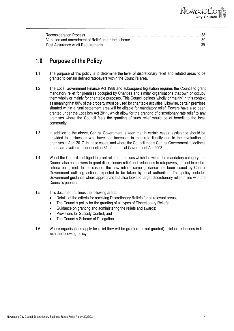

| Post Assurance Audit Requirements |  |
|-----------------------------------|--|

### **1.0 Purpose of the Policy**

- 1.1 The purpose of this policy is to determine the level of discretionary relief and related areas to be granted to certain defined ratepayers within the Council's area.
- 1.2 The Local Government Finance Act 1988 and subsequent legislation requires the Council to grant mandatory relief for premises occupied by Charities and similar organisations that own or occupy them wholly or mainly for charitable purposes. This Council defines 'wholly or mainly' in this context as meaning that 80% of the property must be used for charitable activities. Likewise, certain premises situated within a rural settlement area will be eligible for mandatory relief. Powers have also been granted under the Localism Act 2011, which allow for the granting of discretionary rate relief to any premises where the Council feels the granting of such relief would be of benefit to the local community.
- 1.3 In addition to the above, Central Government is keen that in certain cases, assistance should be provided to businesses who have had increases in their rate liability due to the revaluation of premises in April 2017. In these cases, and where the Council meets Central Government guidelines, grants are available under section 31 of the Local Government Act 2003.
- 1.4 Whilst the Council is obliged to grant relief to premises which fall within the mandatory category, the Council also has powers to grant discretionary relief and reductions to ratepayers, subject to certain criteria being met. In the case of the new reliefs, some guidance has been issued by Central Government outlining actions expected to be taken by local authorities. This policy includes Government guidance where appropriate but also looks to target discretionary relief in line with the Council's priorities.
- 1.5 This document outlines the following areas:
	- Details of the criteria for receiving Discretionary Reliefs for all relevant areas;
	- The Council's policy for the granting of all types of Discretionary Reliefs;
	- Guidance on granting and administering the reliefs and awards;
	- Provisions for Subsidy Control; and
	- The Council's Scheme of Delegation.
- 1.6 Where organisations apply for relief they will be granted (or not granted) relief or reductions in line with the following policy.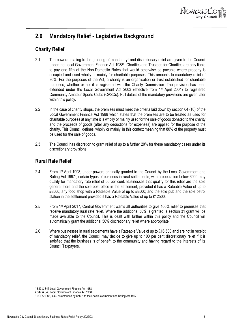

# <span id="page-4-0"></span>**2.0 Mandatory Relief - Legislative Background**

### <span id="page-4-1"></span>**Charity Relief**

- 2.1 The powers relating to the granting of mandatory<sup>1</sup> and discretionary relief are given to the Council under the Local Government Finance Act 1988<sup>2</sup> . Charities and Trustees for Charities are only liable to pay one fifth of the Non-Domestic Rates that would otherwise be payable where property is occupied and used wholly or mainly for charitable purposes. This amounts to mandatory relief of 80%. For the purposes of the Act, a charity is an organisation or trust established for charitable purposes, whether or not it is registered with the Charity Commission. The provision has been extended under the Local Government Act 2003 (effective from 1st April 2004) to registered Community Amateur Sports Clubs (CASCs). Full details of the mandatory provisions are given later within this policy.
- 2.2 In the case of charity shops, the premises must meet the criteria laid down by section 64 (10) of the Local Government Finance Act 1988 which states that the premises are to be treated as used for charitable purposes at any time it is wholly or mainly used for the sale of goods donated to the charity and the proceeds of goods (after any deductions for expenses) are applied for the purpose of the charity. This Council defines 'wholly or mainly' in this context meaning that 80% of the property must be used for the sale of goods.
- 2.3 The Council has discretion to grant relief of up to a further 20% for these mandatory cases under its discretionary provisions.

#### <span id="page-4-2"></span>**Rural Rate Relief**

- 2.4 From 1<sup>st</sup> April 1998, under powers originally granted to the Council by the Local Government and Rating Act 1997<sup>3</sup>, certain types of business in rural settlements, with a population below 3000 may qualify for mandatory rate relief of 50 per cent. Businesses that qualify for this relief are the sole general store and the sole post office in the settlement, provided it has a Rateable Value of up to £8500; any food shop with a Rateable Value of up to £8500; and the sole pub and the sole petrol station in the settlement provided it has a Rateable Value of up to £12500.
- 2.5 From 1st April 2017, Central Government wants all authorities to give 100% relief to premises that receive mandatory rural rate relief. Where the additional 50% is granted, a section 31 grant will be made available to the Council. This is dealt with further within this policy and the Council will automatically grant the additional 50% discretionary relief where appropriate
- 2.6 Where businesses in rural settlements have a Rateable Value of up to £16,500 **and** are not in receipt of mandatory relief, the Council may decide to give up to 100 per cent discretionary relief if it is satisfied that the business is of benefit to the community and having regard to the interests of its Council Taxpayers.

<sup>1</sup> S43 & S45 Local Government Finance Act 1988

<sup>2</sup> S47 & S48 Local Government Finance Act 1988

<sup>3</sup> LGFA 1988, s.43, as amended by Sch. 1 to the Local Government and Rating Act 1997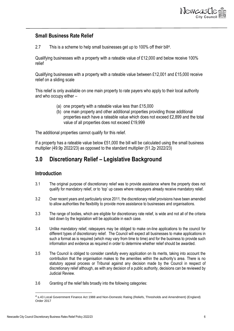

#### **Small Business Rate Relief**

2.7 This is a scheme to help small businesses get up to 100% off their bill<sup>4</sup> .

Qualifying businesses with a property with a rateable value of £12,000 and below receive 100% relief

Qualifying businesses with a property with a rateable value between £12,001 and £15,000 receive relief on a sliding scale

This relief is only available on one main property to rate payers who apply to their local authority and who occupy either –

- (a) one property with a rateable value less than £15,000
- (b) one main property and other additional properties providing those additional properties each have a rateable value which does not exceed £2,899 and the total value of all properties does not exceed £19,999

The additional properties cannot qualify for this relief.

If a property has a rateable value below £51,000 the bill will be calculated using the small business multiplier (49.9p 2022/23) as opposed to the standard multiplier (51.2p 2022/23)

### <span id="page-5-0"></span>**3.0 Discretionary Relief – Legislative Background**

#### <span id="page-5-1"></span>**Introduction**

- 3.1 The original purpose of discretionary relief was to provide assistance where the property does not qualify for mandatory relief, or to 'top' up cases where ratepayers already receive mandatory relief.
- 3.2 Over recent years and particularly since 2011, the discretionary relief provisions have been amended to allow authorities the flexibility to provide more assistance to businesses and organisations.
- 3.3 The range of bodies, which are eligible for discretionary rate relief, is wide and not all of the criteria laid down by the legislation will be applicable in each case.
- 3.4 Unlike mandatory relief, ratepayers may be obliged to make on-line applications to the council for different types of discretionary relief. The Council will expect all businesses to make applications in such a format as is required (which may vary from time to time) and for the business to provide such information and evidence as required in order to determine whether relief should be awarded.
- 3.5 The Council is obliged to consider carefully every application on its merits, taking into account the contribution that the organisation makes to the amenities within the authority's area. There is no statutory appeal process or Tribunal against any decision made by the Council in respect of discretionary relief although, as with any decision of a public authority, decisions can be reviewed by Judicial Review.
- 3.6 Granting of the relief falls broadly into the following categories:

<sup>&</sup>lt;sup>4</sup> s.43 Local Government Finance Act 1988 and Non-Domestic Rating (Reliefs, Thresholds and Amendment) (England) Order 2017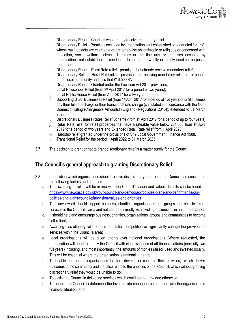

- a. Discretionary Relief Charities who already receive mandatory relief.
- b. Discretionary Relief Premises occupied by organisations not established or conducted for profit whose main objects are charitable or are otherwise philanthropic or religious or concerned with education, social welfare, science, literature or the fine arts **or** premises occupied by organisations not established or conducted for profit and wholly or mainly used for purposes recreation;
- c. Discretionary Relief Rural Rate relief premises that already receive mandatory relief;
- d. Discretionary Relief Rural Rate relief premises not receiving mandatory relief but of benefit to the local community and less that £16,500 RV;
- e. Discretionary Relief Granted under the Localism Act 2011 provisions;
- f. Local Newspaper Relief (from 1st April 2017 for a period of two years);
- g. Local Public House Relief (from April 2017 for a two year period);
- h. Supporting Small Businesses Relief (from 1<sup>st</sup> April 2017 for a period of five years or until business pay their full rate charge or their transitional rate charge (calculated in accordance with the Non-Domestic Rating (Chargeable Amounts) (England) Regulations 2016)); extended to 31 March 2023
- i. Discretionary Business Rates Relief Scheme (from 1st April 2017 for a period of up to four years)
- j. Retail Rate relief for retail properties that have a rateable value below £51,000 from 1<sup>st</sup> April 2019 for a period of two years and Extended Retail Rate relief from 1 April 2020
- k. Hardship relief granted under the provisions of S49 Local Government Finance Act 1988.
- l. Transitional Relief for the period 1 April 2022 to 31 March 2023
- 3.7 The decision to grant or not to grant discretionary relief is a matter purely for the Council.

#### <span id="page-6-0"></span>**The Council's general approach to granting Discretionary Relief**

- 3.8 In deciding which organisations should receive discretionary rate relief, the Council has considered the following factors and priorities:
	- a. The awarding of relief will be in line with the Council's vision and values. Details can be found at [https://www.newcastle.gov.uk/your-council-and-democracy/policies-plans-and-performance/our](https://www.newcastle.gov.uk/your-council-and-democracy/policies-plans-and-performance/our-policies-and-plans/council-plan/vision-values-and-priorities)[policies-and-plans/council-plan/vision-values-and-priorities](https://www.newcastle.gov.uk/your-council-and-democracy/policies-plans-and-performance/our-policies-and-plans/council-plan/vision-values-and-priorities)
	- b. That any award should support business, charities, organisations and groups that help to retain services in the Council's area and not compete directly with existing businesses in an unfair manner;
	- c. It should help and encourage business, charities, organisations, groups and communities to become self-reliant;
	- d. Awarding discretionary relief should not distort competition or significantly change the provision of services within the Council's area;
	- e. Local organisations will be given priority over national organisations. Where requested, the organisation will need to supply the Council with clear evidence of **all** financial affairs (normally two full years) including, and most importantly, the amounts of monies raised, used and invested locally. This will be essential where the organisation is national in nature;
	- f. To enable appropriate organisations to start, develop or continue their activities, which deliver outcomes to the community and that also relate to the priorities of the Council, which without granting discretionary relief they would be unable to do;
	- g. To assist the Council in delivering services which could not be provided otherwise;
	- h. To enable the Council to determine the level of rate change in comparison with the organisation's financial situation; and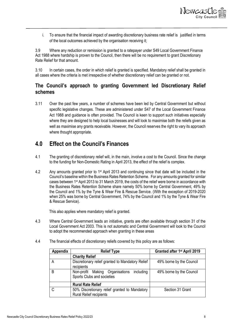

i. To ensure that the financial impact of awarding discretionary business rate relief is justified in terms of the local outcomes achieved by the organisation receiving it;

3.9 Where any reduction or remission is granted to a ratepayer under S49 Local Government Finance Act 1988 where hardship is proven to the Council, then there will be no requirement to grant Discretionary Rate Relief for that amount.

3.10 In certain cases, the order in which relief is granted is specified. Mandatory relief shall be granted in all cases where the criteria is met irrespective of whether discretionary relief can be granted or not.

### <span id="page-7-0"></span>**The Council's approach to granting Government led Discretionary Relief schemes**

3.11 Over the past few years, a number of schemes have been led by Central Government but without specific legislative changes. These are administered under S47 of the Local Government Finance Act 1988 and guidance is often provided. The Council is keen to support such initiatives especially where they are designed to help local businesses and will look to maximise both the reliefs given as well as maximise any grants receivable. However, the Council reserves the right to vary its approach where thought appropriate.

### <span id="page-7-1"></span>**4.0 Effect on the Council's Finances**

- 4.1 The granting of discretionary relief will, in the main, involve a cost to the Council. Since the change to the funding for Non-Domestic Rating in April 2013, the effect of the relief is complex.
- 4.2 Any amounts granted prior to 1st April 2013 and continuing since that date will be included in the Council's baseline within the Business Rates Retention Scheme. For any amounts granted for similar cases between 1<sup>st</sup> April 2013 to 31 March 2019, the costs of the relief were borne in accordance with the Business Rates Retention Scheme share namely 50% borne by Central Government, 49% by the Council and 1% by the Tyne & Wear Fire & Rescue Service. (With the exception of 2019-2020 when 25% was borne by Central Government, 74% by the Council and 1% by the Tyne & Wear Fire & Rescue Service).

This also applies where mandatory relief is granted.

- 4.3 Where Central Government leads an initiative, grants are often available through section 31 of the Local Government Act 2003. This is not automatic and Central Government will look to the Council to adopt the recommended approach when granting in these areas
- 4.4 The financial effects of discretionary reliefs covered by this policy are as follows:

| Appendix      | <b>Relief Type</b>                                                              | Granted after 1 <sup>st</sup> April 2019 |
|---------------|---------------------------------------------------------------------------------|------------------------------------------|
|               | <b>Charity Relief</b>                                                           |                                          |
| А             | Discretionary relief granted to Mandatory Relief<br>recipients                  | 49% borne by the Council                 |
| B             | Non-profit Making Organisations<br>including<br>Sports Clubs and societies      | 49% borne by the Council                 |
|               | <b>Rural Rate Relief</b>                                                        |                                          |
| $\mathcal{C}$ | 50% Discretionary relief granted to Mandatory<br><b>Rural Relief recipients</b> | Section 31 Grant                         |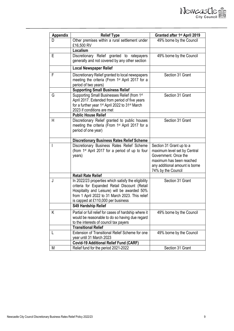| <b>Appendix</b> | <b>Relief Type</b>                                                                                                                                                                                                                            | Granted after 1 <sup>st</sup> April 2019                                                                                                                             |
|-----------------|-----------------------------------------------------------------------------------------------------------------------------------------------------------------------------------------------------------------------------------------------|----------------------------------------------------------------------------------------------------------------------------------------------------------------------|
| D               | Other premises within a rural settlement under<br>£16,500 RV                                                                                                                                                                                  | 49% borne by the Council                                                                                                                                             |
|                 | Localism                                                                                                                                                                                                                                      |                                                                                                                                                                      |
| E               | Discretionary Relief granted to ratepayers<br>generally and not covered by any other section                                                                                                                                                  | 49% borne by the Council                                                                                                                                             |
|                 | <b>Local Newspaper Relief</b>                                                                                                                                                                                                                 |                                                                                                                                                                      |
| F               | Discretionary Relief granted to local newspapers<br>meeting the criteria (From 1 <sup>st</sup> April 2017 for a<br>period of two years)                                                                                                       | Section 31 Grant                                                                                                                                                     |
|                 | <b>Supporting Small Business Relief</b>                                                                                                                                                                                                       |                                                                                                                                                                      |
| G               | Supporting Small Businesses Relief (from 1st<br>April 2017. Extended from period of five years<br>for a further year 1 <sup>st</sup> April 2022 to 31 <sup>st</sup> March<br>2023 if conditions are met                                       | Section 31 Grant                                                                                                                                                     |
|                 | <b>Public House Relief</b>                                                                                                                                                                                                                    |                                                                                                                                                                      |
| H               | Discretionary Relief granted to public houses<br>meeting the criteria (From 1 <sup>st</sup> April 2017 for a<br>period of one year)                                                                                                           | Section 31 Grant                                                                                                                                                     |
|                 | <b>Discretionary Business Rates Relief Scheme</b>                                                                                                                                                                                             |                                                                                                                                                                      |
|                 | Discretionary Business Rates Relief Scheme<br>(from 1 <sup>st</sup> April 2017 for a period of up to four<br>years)                                                                                                                           | Section 31 Grant up to a<br>maximum level set by Central<br>Government. Once the<br>maximum has been reached<br>any additional amount is borne<br>74% by the Council |
|                 | <b>Retail Rate Relief</b>                                                                                                                                                                                                                     |                                                                                                                                                                      |
| J               | In 2022/23 properties which satisfy the eligibility<br>criteria for Expanded Retail Discount (Retail<br>Hospitality and Leisure) will be awarded 50%<br>from 1 April 2022 to 31 March 2023. This relief<br>is capped at £110,000 per business | Section 31 Grant                                                                                                                                                     |
|                 | <b>S49 Hardship Relief</b>                                                                                                                                                                                                                    |                                                                                                                                                                      |
| Κ               | Partial or full relief for cases of hardship where it<br>would be reasonable to do so having due regard<br>to the interests of council tax payers                                                                                             | 49% borne by the Council                                                                                                                                             |
|                 | <b>Transitional Relief</b>                                                                                                                                                                                                                    |                                                                                                                                                                      |
| L               | Extension of Transitional Relief Scheme for one<br>year until 31 March 2023                                                                                                                                                                   | 49% borne by the Council                                                                                                                                             |
|                 | <b>Covid-19 Additional Relief Fund (CARF)</b>                                                                                                                                                                                                 |                                                                                                                                                                      |
| M               | Relief fund for the period 2021-2022                                                                                                                                                                                                          | Section 31 Grant                                                                                                                                                     |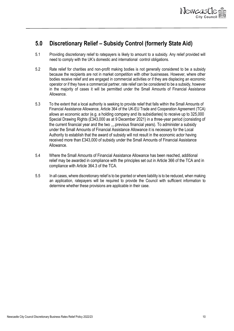

# <span id="page-9-0"></span>**5.0 Discretionary Relief – Subsidy Control (formerly State Aid)**

- 5.1 Providing discretionary relief to ratepayers is likely to amount to a subsidy. Any relief provided will need to comply with the UK's domestic and international control obligations.
- 5.2 Rate relief for charities and non-profit making bodies is not generally considered to be a subsidy because the recipients are not in market competition with other businesses. However, where other bodies receive relief and are engaged in commercial activities or if they are displacing an economic operator or if they have a commercial partner, rate relief can be considered to be a subsidy, however in the majority of cases it will be permitted under the Small Amounts of Financial Assistance Allowance.
- 5.3 To the extent that a local authority is seeking to provide relief that falls within the Small Amounts of Financial Assistance Allowance, Article 364 of the UK-EU Trade and Cooperation Agreement (TCA) allows an economic actor (e.g. a holding company and its subsidiaries) to receive up to 325,000 Special Drawing Rights (£343,000 as at 9 December 2021) in a three-year period (consisting of the current financial year and the two ,,,.previous financial years). To administer a subsidy under the Small Amounts of Financial Assistance Allowance it is necessary for the Local Authority to establish that the award of subsidy will not result in the economic actor having received more than £343,000 of subsidy under the Small Amounts of Financial Assistance Allowance.
- 5.4 Where the Small Amounts of Financial Assistance Allowance has been reached, additional relief may be awarded in compliance with the principles set out in Article 366 of the TCA and in compliance with Article 364.3 of the TCA.
- 5.5 In all cases, where discretionary relief is to be granted or where liability is to be reduced, when making an application, ratepayers will be required to provide the Council with sufficient information to determine whether these provisions are applicable in their case.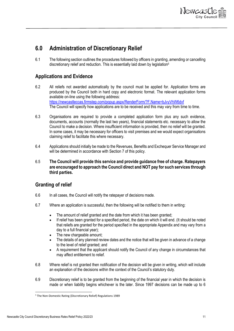

# <span id="page-10-0"></span>**6.0 Administration of Discretionary Relief**

6.1 The following section outlines the procedures followed by officers in granting, amending or cancelling discretionary relief and reduction. This is essentially laid down by legislation<sup>5</sup>

### <span id="page-10-1"></span>**Applications and Evidence**

- 6.2 All reliefs not awarded automatically by the council must be applied for. Application forms are produced by the Council both in hard copy and electronic format. The relevant application forms available on-line using the following address: <https://newcastleccas.firmstep.com/popup.aspx/RenderForm/?F.Name=bJvyVhW6dvf> The Council will specify how applications are to be received and this may vary from time to time.
- 6.3 Organisations are required to provide a completed application form plus any such evidence, documents, accounts (normally the last two years), financial statements etc. necessary to allow the Council to make a decision. Where insufficient information is provided, then no relief will be granted. In some cases, it may be necessary for officers to visit premises and we would expect organisations claiming relief to facilitate this where necessary.
- 6.4 Applications should initially be made to the Revenues, Benefits and Exchequer Service Manager and will be determined in accordance with Section 7 of this policy.
- 6.5 **The Council will provide this service and provide guidance free of charge. Ratepayers are encouraged to approach the Council direct and NOT pay for such services through third parties.**

### <span id="page-10-2"></span>**Granting of relief**

- 6.6 In all cases, the Council will notify the ratepayer of decisions made.
- 6.7 Where an application is successful, then the following will be notified to them in writing:
	- The amount of relief granted and the date from which it has been granted;
	- If relief has been granted for a specified period, the date on which it will end. (It should be noted that reliefs are granted for the period specified in the appropriate Appendix and may vary from a day to a full financial year);
	- The new chargeable amount:
	- The details of any planned review dates and the notice that will be given in advance of a change to the level of relief granted; and
	- A requirement that the applicant should notify the Council of any change in circumstances that may affect entitlement to relief.
- 6.8 Where relief is not granted then notification of the decision will be given in writing, which will include an explanation of the decisions within the context of the Council's statutory duty.
- 6.9 Discretionary relief is to be granted from the beginning of the financial year in which the decision is made or when liability begins whichever is the later. Since 1997 decisions can be made up to 6

<sup>5</sup> The Non-Domestic Rating (Discretionary Relief) Regulations 1989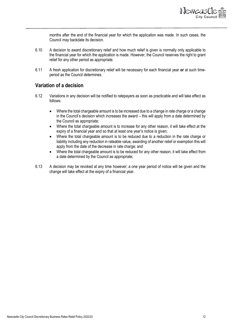

months after the end of the financial year for which the application was made. In such cases, the Council *may* backdate its decision.

- 6.10 A decision to award discretionary relief and how much relief is given is normally only applicable to the financial year for which the application is made. However, the Council reserves the right to grant relief for any other period as appropriate.
- 6.11 A fresh application for discretionary relief will be necessary for each financial year **or** at such timeperiod as the Council determines.

#### <span id="page-11-0"></span>**Variation of a decision**

- 6.12 Variations in any decision will be notified to ratepayers as soon as practicable and will take effect as follows:
	- Where the total chargeable amount is to be increased due to a change in rate charge or a change in the Council's decision which increases the award – this will apply from a date determined by the Council as appropriate;
	- Where the total chargeable amount is to increase for any other reason, it will take effect at the expiry of a financial year and so that at least one year's notice is given;
	- Where the total chargeable amount is to be reduced due to a reduction in the rate charge or liability including any reduction in rateable value, awarding of another relief or exemption this will apply from the date of the decrease in rate charge; and
	- Where the total chargeable amount is to be reduced for any other reason, it will take effect from a date determined by the Council as appropriate;
- 6.13 A decision may be revoked at any time however; a one year period of notice will be given and the change will take effect at the expiry of a financial year.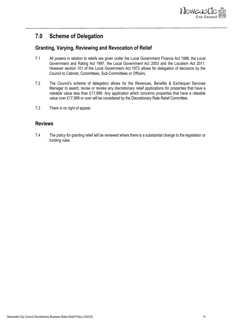

# <span id="page-12-0"></span>**7.0 Scheme of Delegation**

### <span id="page-12-1"></span>**Granting, Varying, Reviewing and Revocation of Relief**

- 7.1 All powers in relation to reliefs are given under the Local Government Finance Act 1988, the Local Government and Rating Act 1997, the Local Government Act 2003 and the Localism Act 2011. However section 101 of the Local Government Act 1972 allows for delegation of decisions by the Council to Cabinet, Committees, Sub-Committees or Officers.
- 7.2 The Council's scheme of delegation allows for the Revenues, Benefits & Exchequer Services Manager to award, revise or revoke any discretionary relief applications for properties that have a rateable value less than £17,999. Any application which concerns properties that have a rateable value over £17,999 or over will be considered by the Discretionary Rate Relief Committee.
- 7.3 There is no right of appeal.

#### <span id="page-12-2"></span>**Reviews**

7.4 The policy for granting relief will be reviewed where there is a substantial change to the legislation or funding rules.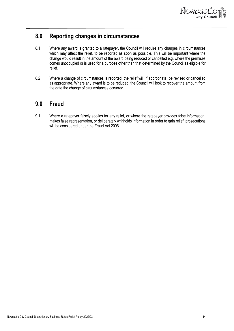

### <span id="page-13-0"></span>**8.0 Reporting changes in circumstances**

- 8.1 Where any award is granted to a ratepayer, the Council will require any changes in circumstances which may affect the relief, to be reported as soon as possible. This will be important where the change would result in the amount of the award being reduced or cancelled e.g. where the premises comes unoccupied or is used for a purpose other than that determined by the Council as eligible for relief.
- 8.2 Where a change of circumstances is reported, the relief will, if appropriate, be revised or cancelled as appropriate. Where any award is to be reduced, the Council will look to recover the amount from the date the change of circumstances occurred.

# <span id="page-13-1"></span>**9.0 Fraud**

9.1 Where a ratepayer falsely applies for any relief, or where the ratepayer provides false information, makes false representation, or deliberately withholds information in order to gain relief, prosecutions will be considered under the Fraud Act 2006.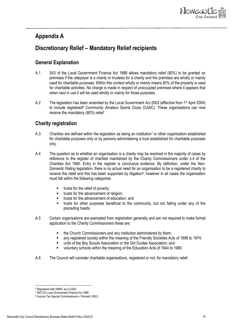

### <span id="page-14-0"></span>**Appendix A**

# <span id="page-14-1"></span>**Discretionary Relief – Mandatory Relief recipients**

### <span id="page-14-2"></span>**General Explanation**

- A.1 S43 of the Local Government Finance Act 1988 allows mandatory relief (80%) to be granted on premises if the ratepayer is a charity or trustees for a charity and the premises are wholly or mainly used for charitable purposes. Within this context wholly or mainly means 80% of the property is used for charitable activities. No charge is made in respect of unoccupied premises where it appears that *when next in use* it will be used wholly or mainly for those purposes.
- A.2 The legislation has been amended by the Local Government Act 2003 (effective from 1<sup>st</sup> April 2004) to include registered<sup>6</sup> Community Amateur Sports Clubs (CASC). These organisations can now receive the mandatory (80%) relief.

### <span id="page-14-3"></span>**Charity registration**

- A.3 Charities are defined within the legislation as being an institution<sup>7</sup> or other organisation established for charitable purposes only or by persons administering a trust established for charitable purposes only.
- A.4 The question as to whether an organisation is a charity may be resolved in the majority of cases by reference to the register of charities maintained by the Charity Commissioners under s.4 of the Charities Act 1960. Entry in the register is conclusive evidence. By definition, under the Non-Domestic Rating legislation, there is no actual need for an organisation to be a registered charity to receive the relief and this has been supported by litigation<sup>8</sup>, however in all cases the organisation must fall within the following categories:
	- trusts for the relief of poverty;
	- trusts for the advancement of religion;
	- trusts for the advancement of education; and
	- trusts for other purposes beneficial to the community, but not falling under any of the preceding heads.
- A.5 Certain organisations are exempted from registration generally and are not required to make formal application to the Charity Commissioners these are:
	- the Church Commissioners and any institution administered by them;
	- any registered society within the meaning of the Friendly Societies Acts of 1896 to 1974;
	- units of the Boy Scouts Association or the Girl Guides Association; and
	- voluntary schools within the meaning of the Education Acts of 1944 to 1980.
- A.6 The Council will consider charitable organisations, registered or not, for mandatory relief.

<sup>6</sup> Registered with HMRC as a CASC

<sup>7</sup> S67(10) Local Government Finance Act 1988

<sup>8</sup> Income Tax Special Commissioners v Pemsell (1891)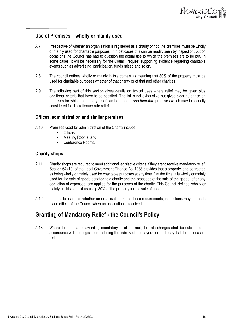

#### <span id="page-15-0"></span>**Use of Premises – wholly or mainly used**

- A.7 Irrespective of whether an organisation is registered as a charity or not, the premises **must** be wholly or mainly used for charitable purposes. In most cases this can be readily seen by inspection, but on occasions the Council has had to question the actual use to which the premises are to be put. In some cases, it will be necessary for the Council request supporting evidence regarding charitable events such as advertising, participation, funds raised and so on.
- A.8 The council defines wholly or mainly in this context as meaning that 80% of the property must be used for charitable purposes whether of that charity or of that and other charities.
- A.9 The following part of this section gives details on typical uses where relief may be given plus additional criteria that have to be satisfied. The list is not exhaustive but gives clear guidance on premises for which mandatory relief can be granted *and therefore* premises which may be equally considered for discretionary rate relief.

#### <span id="page-15-1"></span>**Offices, administration and similar premises**

- A.10 Premises used for administration of the Charity include:
	- Offices:
	- Meeting Rooms; and
	- Conference Rooms.

#### <span id="page-15-2"></span>**Charity shops**

- A.11 Charity shops are required to meet additional legislative criteria if they are to receive mandatory relief. Section 64 (10) of the Local Government Finance Act 1988 provides that a property is to be treated as being wholly or mainly used for charitable purposes at any time if, at the time, it is wholly or mainly used for the sale of goods donated to a charity and the proceeds of the sale of the goods (after any deduction of expenses) are applied for the purposes of the charity. This Council defines 'wholly or mainly' in this context as using 80% of the property for the sale of goods.
- A.12 In order to ascertain whether an organisation meets these requirements, inspections may be made by an officer of the Council when an application is received

### <span id="page-15-3"></span>**Granting of Mandatory Relief - the Council's Policy**

A.13 Where the criteria for awarding mandatory relief are met, the rate charges shall be calculated in accordance with the legislation reducing the liability of ratepayers for each day that the criteria are met.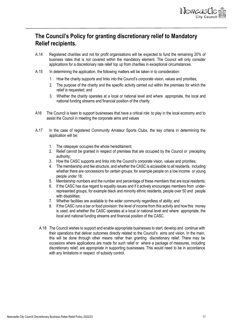

# <span id="page-16-0"></span>**The Council's Policy for granting discretionary relief to Mandatory Relief recipients.**

- A.14 Registered charities and not for profit organisations will be expected to fund the remaining 20% of business rates that is not covered within the mandatory element. The Council will only consider applications for a discretionary rate relief top up from charities in exceptional circumstances.
- A.15 In determining the application, the following matters will be taken in to consideration:
	- 1. How the charity supports and links into the Council's corporate vision, values and priorities;
	- 2. The purpose of the charity and the specific activity carried out within the premises for which the relief is requested; and
	- 3. Whether the charity operates at a local or national level and where appropriate, the local and national funding streams and financial position of the charity.
- A16 The Council is keen to support businesses that have a critical role to play in the local economy and to assist the Council in meeting the corporate aims and values
- A.17 In the case of registered Community Amateur Sports Clubs, the key criteria in determining the application will be:
	- 1. The ratepayer occupies the whole hereditament;
	- 2. Relief cannot be granted in respect of premises that are occupied by the Council or precepting authority;
	- 3. How the CASC supports and links into the Council's corporate vision, values and priorities;
	- 4. Themembership and fee structure, and whether the CASC is accessible to all residents, including whether there are concessions for certain groups, for example people on a low income or young people under 18;
	- 5. Membership numbers and the number and percentage of these members that are local residents;
	- 6. If the CASC has due regard to equality issues and if it actively encourages members from underrepresented groups, for example black and minority ethnic residents, people over 50 and people with disabilities:
	- 7. Whether facilities are available to the wider community regardless of ability; and
	- 8. If the CASC runs a bar or food provision: the level of income from this activity and how this money is used; and whether the CASC operates at a local or national level and where appropriate, the local and national funding streams and financial position of the CASC.
	- A.18 The Council wishes to support and enable appropriate businesses to start, develop and continue with their operations that deliver outcomes directly related to the Council's aims and vision. In the main, this will be done through other means rather than granting discretionary relief. There may be occasions where applications are made for such relief or where a package of measures, including discretionary relief, are appropriate in supporting businesses. This would need to be in accordance with any limitations in respect of subsidy control.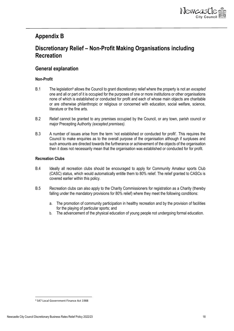

### <span id="page-17-0"></span>**Appendix B**

# <span id="page-17-1"></span>**Discretionary Relief – Non-Profit Making Organisations including Recreation**

#### <span id="page-17-2"></span>**General explanation**

#### **Non-Profit**

- B.1 The legislation<sup>9</sup> allows the Council to grant discretionary relief where the property is not an *excepted* one and all or part of it is occupied for the purposes of one or more institutions or other organisations none of which is established or conducted for profit and each of whose main objects are charitable or are otherwise philanthropic or religious or concerned with education, social welfare, science, literature or the fine arts.
- B.2 Relief cannot be granted to any premises occupied by the Council, or any town, parish council or major Precepting Authority *(excepted premises).*
- B.3 A number of issues arise from the term 'not established or conducted for profit'. This requires the Council to make enquiries as to the overall purpose of the organisation although if surpluses and such amounts are directed towards the furtherance or achievement of the objects of the organisation then it does not necessarily mean that the organisation was established or conducted for for profit.

#### **Recreation Clubs**

- B.4 Ideally all recreation clubs should be encouraged to apply for Community Amateur sports Club (CASC) status, which would automatically entitle them to 80% relief. The relief granted to CASCs is covered earlier within this policy.
- B.5 Recreation clubs can also apply to the Charity Commissioners for registration as a Charity (thereby falling under the mandatory provisions for 80% relief) where they meet the following conditions:
	- a. The promotion of community participation in healthy recreation and by the provision of facilities for the playing of particular sports; and
	- b. The advancement of the physical education of young people not undergoing formal education.

<sup>9</sup> S47 Local Government Finance Act 1988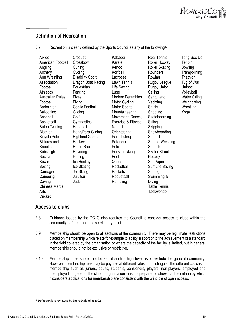

#### <span id="page-18-0"></span>**Definition of Recreation**

B.7 Recreation is clearly defined by the Sports Council as any of the following<sup>10</sup>

| Aikido<br>American Football<br>Angling<br>Archery<br>Arm Wrestling<br>Association<br>Football<br><b>Athletics</b><br><b>Australian Rules</b><br>Football<br><b>Badminton</b><br>Ballooning<br>Baseball<br><b>Basketball</b><br><b>Baton Twirling</b><br><b>Biathlon</b><br>Bicycle Polo<br><b>Billiards and</b><br>Snooker<br><b>Bobsleigh</b><br>Boccia<br><b>Bowls</b><br>Boxing<br>Camogie<br>Canoeing<br>Caving<br><b>Chinese Martial</b><br>Arts<br>Cricket | Croquet<br>Crossbow<br>Curling<br>Cycling<br><b>Disability Sport</b><br>Dragon Boat Racing<br>Equestrian<br>Fencing<br>Fives<br>Flying<br><b>Gaelic Football</b><br>Gliding<br>Golf<br>Gymnastics<br>Handball<br>Hang/Para Gliding<br><b>Highland Games</b><br>Hockey<br>Horse Racing<br>Hovering<br>Hurling<br>Ice Hockey<br>Ice Skating<br>Jet Skiing<br>Ju Jitsu<br>Judo | Kabaddi<br>Karate<br>Kendo<br>Korfball<br>Lacrosse<br>Lawn Tennis<br>Life Saving<br>Luge<br><b>Modern Pentathlon</b><br>Motor Cycling<br>Motor Sports<br>Mountaineering<br>Movement, Dance,<br><b>Exercise &amp; Fitness</b><br>Netball<br>Orienteering<br>Parachuting<br>Petanque<br>Polo<br>Pony Trekking<br>Pool<br>Quoits<br>Racketball<br>Rackets<br>Raquetball<br>Rambling | <b>Real Tennis</b><br>Roller Hockey<br><b>Roller Skating</b><br>Rounders<br>Rowing<br>Rugby League<br>Rugby Union<br>Sailing<br>Sand/Land<br>Yachting<br>Shinty<br>Shooting<br>Skateboarding<br>Skiing<br>Skipping<br>Snowboarding<br>Softball<br>Sombo Wrestling<br>Squash<br>Skater/Street<br>Hockey<br>Sub-Aqua<br>Surf Life Saving<br>Surfing<br>Swimming &<br>Diving<br><b>Table Tennis</b><br>Taekwondo | Tang Soo Do<br>Tenpin<br><b>Bowling</b><br>Trampolining<br>Triathlon<br>Tug of War<br>Unihoc<br>Volleyball<br><b>Water Skiing</b><br>Weightlifting<br>Wrestling<br>Yoga |
|------------------------------------------------------------------------------------------------------------------------------------------------------------------------------------------------------------------------------------------------------------------------------------------------------------------------------------------------------------------------------------------------------------------------------------------------------------------|-----------------------------------------------------------------------------------------------------------------------------------------------------------------------------------------------------------------------------------------------------------------------------------------------------------------------------------------------------------------------------|----------------------------------------------------------------------------------------------------------------------------------------------------------------------------------------------------------------------------------------------------------------------------------------------------------------------------------------------------------------------------------|---------------------------------------------------------------------------------------------------------------------------------------------------------------------------------------------------------------------------------------------------------------------------------------------------------------------------------------------------------------------------------------------------------------|-------------------------------------------------------------------------------------------------------------------------------------------------------------------------|
|------------------------------------------------------------------------------------------------------------------------------------------------------------------------------------------------------------------------------------------------------------------------------------------------------------------------------------------------------------------------------------------------------------------------------------------------------------------|-----------------------------------------------------------------------------------------------------------------------------------------------------------------------------------------------------------------------------------------------------------------------------------------------------------------------------------------------------------------------------|----------------------------------------------------------------------------------------------------------------------------------------------------------------------------------------------------------------------------------------------------------------------------------------------------------------------------------------------------------------------------------|---------------------------------------------------------------------------------------------------------------------------------------------------------------------------------------------------------------------------------------------------------------------------------------------------------------------------------------------------------------------------------------------------------------|-------------------------------------------------------------------------------------------------------------------------------------------------------------------------|

#### <span id="page-18-1"></span>**Access to clubs**

- B.8 Guidance issued by the DCLG also requires the Council to consider access to clubs within the community before granting discretionary relief.
- B.9 Membership should be open to all sections of the community. There may be legitimate restrictions placed on membership which relate for example to ability in sport or to the achievement of a standard in the field covered by the organisation or where the capacity of the facility is limited, but in general membership should not be exclusive or restrictive.
- B.10 Membership rates should not be set at such a high level as to exclude the general community. However, membership fees may be payable at different rates that distinguish the different classes of membership such as juniors, adults, students, pensioners, players, non-players, employed and unemployed. In general, the club or organisation must be prepared to show that the criteria by which it considers applications for membership are consistent with the principle of open access.

<sup>10</sup> Definition last reviewed by Sport England in 2002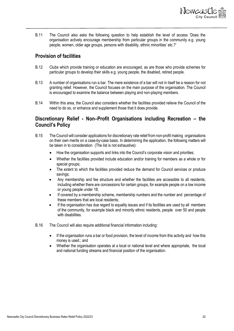

B.11 The Council also asks the following question to help establish the level of access 'Does the organisation actively encourage membership from particular groups in the community e.g. young people, women, older age groups, persons with disability, ethnic minorities' etc.?'

#### <span id="page-19-0"></span>**Provision of facilities**

- B.12 Clubs which provide training or education are encouraged, as are those who provide schemes for particular groups to develop their skills e.g. young people, the disabled, retired people.
- B.13 A number of organisations run a bar. The mere existence of a bar will not in itself be a reason for not granting relief. However, the Council focuses on the main purpose of the organisation. The Council is encouraged to examine the balance between playing and non-playing members.
- B.14 Within this area, the Council also considers whether the facilities provided relieve the Council of the need to do so, or enhance and supplement those that it does provide.

### <span id="page-19-1"></span>**Discretionary Relief - Non–Profit Organisations including Recreation – the Council's Policy**

- B.15 The Council will consider applications for discretionary rate relief fromnon-profit making organisations on their own merits on a case-by-case basis. In determining the application, the following matters will be taken in to consideration (The list is not exhaustive):
	- How the organisation supports and links into the Council's corporate vision and priorities;
	- Whether the facilities provided include education and/or training for members as a whole or for special groups;
	- The extent to which the facilities provided reduce the demand for Council services or produce savings;
	- Any membership and fee structure and whether the facilities are accessible to all residents, including whether there are concessions for certain groups, for example people on a low income or young people under 18;
	- If covered by a membership scheme, membership numbers and the number and percentage of these members that are local residents;
	- If the organisation has due regard to equality issues and if its facilities are used by all members of the community, for example black and minority ethnic residents, people over 50 and people with disabilities.
- B.16 The Council will also require additional financial information including:
	- If the organisation runs a bar or food provision, the level of income from this activity and how this money is used.; and
	- Whether the organisation operates at a local or national level and where appropriate, the local and national funding streams and financial position of the organisation.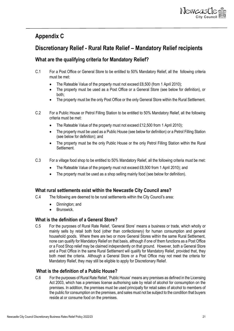

# <span id="page-20-0"></span>**Appendix C**

# <span id="page-20-1"></span>**Discretionary Relief - Rural Rate Relief – Mandatory Relief recipients**

### <span id="page-20-2"></span>**What are the qualifying criteria for Mandatory Relief?**

- C.1 For a Post Office or General Store to be entitled to 50% Mandatory Relief, all the following criteria must be met:
	- The Rateable Value of the property must not exceed £8,500 (from 1 April 2010);
	- The property must be used as a Post Office or a General Store (see below for definition), or both;
	- The property must be the only Post Office or the only General Store within the Rural Settlement.
- C.2 For a Public House or Petrol Filling Station to be entitled to 50% Mandatory Relief, all the following criteria must be met:
	- The Rateable Value of the property must not exceed £12,500 from 1 April 2010);
	- The property must be used as a Public House (see below for definition) or a Petrol Filling Station (see below for definition); and
	- The property must be the only Public House or the only Petrol Filling Station within the Rural Settlement.
- C.3 For a village food shop to be entitled to 50% Mandatory Relief, all the following criteria must be met:
	- The Rateable Value of the property must not exceed £8,500 from 1 April 2010); and
	- The property must be used as a shop selling mainly food (see below for definition).

#### <span id="page-20-3"></span>**What rural settlements exist within the Newcastle City Council area?**

- C.4 The following are deemed to be rural settlements within the City Council's area:
	- Dinnington; and
	- Brunswick.

#### <span id="page-20-4"></span>**What is the definition of a General Store?**

C.5 For the purposes of Rural Rate Relief, 'General Store' means a business or trade, which wholly or mainly sells by retail both food (other than confectionery) for human consumption and general household goods. Where there are two or more General Stores within the same Rural Settlement, none can qualify for Mandatory Relief on that basis, although if one of them functions as a Post Office or a Food Shop relief may be claimed independently on that ground. However, both a General Store and a Post Office in the same Rural Settlement will qualify for Mandatory Relief, provided that, they both meet the criteria. Although a General Store or a Post Office may not meet the criteria for Mandatory Relief, they may still be eligible to apply for Discretionary Relief.

#### <span id="page-20-5"></span>**What is the definition of a Public House?**

C.6 For the purposes of Rural Rate Relief, 'Public House' means any premises as defined in the Licensing Act 2003, which has a premises license authorising sale by retail of alcohol for consumption on the premises. In addition, the premises must be used principally for retail sales of alcohol to members of the public for consumption on the premises, and sales must not be subject to the condition that buyers reside at or consume food on the premises.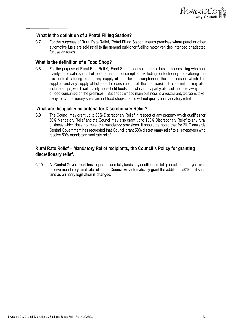

#### <span id="page-21-0"></span>**What is the definition of a Petrol Filling Station?**

C.7 For the purposes of Rural Rate Relief, 'Petrol Filling Station' means premises where petrol or other automotive fuels are sold retail to the general public for fuelling motor vehicles intended or adapted for use on roads

#### <span id="page-21-1"></span>**What is the definition of a Food Shop?**

C.8 For the purpose of Rural Rate Relief, 'Food Shop' means a trade or business consisting wholly or mainly of the sale by retail of food for human consumption (excluding confectionery and catering – in this context catering means any supply of food for consumption on the premises on which it is supplied and any supply of hot food for consumption off the premises). This definition may also include shops, which sell mainly household foods and which may partly also sell hot take away food or food consumed on the premises. But shops whose main business is a restaurant, tearoom, takeaway, or confectionery sales are not food shops and so will not qualify for mandatory relief.

#### <span id="page-21-2"></span>**What are the qualifying criteria for Discretionary Relief?**

C.9 The Council may grant up to 50% Discretionary Relief in respect of any property which qualifies for 50% Mandatory Relief and the Council may also grant up to 100% Discretionary Relief to any rural business which does not meet the mandatory provisions. It should be noted that for 2017 onwards Central Government has requested that Council grant 50% discretionary relief to all ratepayers who receive 50% mandatory rural rate relief.

#### <span id="page-21-3"></span>**Rural Rate Relief – Mandatory Relief recipients, the Council's Policy for granting discretionary relief.**

C.10 As Central Government has requested and fully funds any additional relief granted to ratepayers who receive mandatory rural rate relief, the Council will automatically grant the additional 50% until such time as primarily legislation is changed.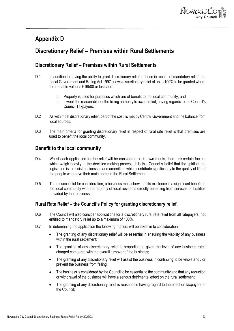

# <span id="page-22-0"></span>**Appendix D**

### <span id="page-22-1"></span>**Discretionary Relief – Premises within Rural Settlements**

#### <span id="page-22-2"></span>**Discretionary Relief – Premises within Rural Settlements**

- D.1 In addition to having the ability to grant discretionary relief to those in receipt of mandatory relief, the Local Government and Rating Act 1997 allows discretionary relief of up to 100% to be granted where the rateable value is £16500 or less and:
	- a. Property is used for purposes which are of benefit to the local community; and
	- b. It would be reasonable for the billing authority to award relief, having regards to the Council's Council Taxpayers.
- D.2 As with most discretionary relief, part of the cost, is met by Central Government and the balance from local sources.
- D.3 The main criteria for granting discretionary relief in respect of rural rate relief is that premises are used to benefit the local community.

#### <span id="page-22-3"></span>**Benefit to the local community**

- D.4 Whilst each application for the relief will be considered on its own merits, there are certain factors which weigh heavily in the decision-making process. It is this Council's belief that the spirit of the legislation is to assist businesses and amenities, which contribute significantly to the quality of life of the people who have their main home in the Rural Settlement.
- D.5 To be successful for consideration, a business must show that its existence is a significant benefit to the local community with the majority of local residents directly benefiting from services or facilities provided by that business

#### <span id="page-22-4"></span>**Rural Rate Relief – the Council's Policy for granting discretionary relief.**

- D.6 The Council will also consider applications for a discretionary rural rate relief from all ratepayers, not entitled to mandatory relief up to a maximum of 100%.
- D.7 In determining the application the following matters will be taken in to consideration:
	- The granting of any discretionary relief will be essential in ensuring the viability of any business within the rural settlement:
	- The granting of any discretionary relief is proportionate given the level of any business rates charged compared with the overall turnover of the business;
	- The granting of any discretionary relief will assist the business in continuing to be viable and / or prevent the business from failing;
	- The business is considered by the Council to be essential to the community and that any reduction or withdrawal of the business will have a serious detrimental effect on the rural settlement;
	- The granting of any discretionary relief is reasonable having regard to the effect on taxpayers of the Council;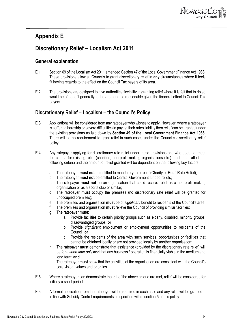

# <span id="page-23-0"></span>**Appendix E**

# <span id="page-23-1"></span>**Discretionary Relief – Localism Act 2011**

### <span id="page-23-2"></span>**General explanation**

- E.1 Section 69 of the Localism Act 2011 amended Section 47 of the Local Government Finance Act 1988. These provisions allow all Councils to grant discretionary relief in **any** circumstances where it feels fit having regards to the effect on the Council Tax payers of its area.
- E.2 The provisions are designed to give authorities flexibility in granting relief where it is felt that to do so would be of benefit generally to the area and be reasonable given the financial effect to Council Tax payers.

### <span id="page-23-3"></span>**Discretionary Relief – Localism – the Council's Policy**

- E.3 Applications will be considered from any ratepayer who wishes to apply. However, where a ratepayer is suffering hardship or severe difficulties in paying their rates liability then relief can be granted under the existing provisions as laid down by **Section 49 of the Local Government Finance Act 1988.** There will be no requirement to grant relief in such cases under the Council's discretionary relief policy.
- E.4 Any ratepayer applying for discretionary rate relief under these provisions and who does not meet the criteria for existing relief (charities, non-profit making organisations etc.) must meet **all** of the following criteria and the amount of relief granted will be dependent on the following key factors:
	- a. The ratepayer **must not** be entitled to mandatory rate relief (Charity or Rural Rate Relief);
	- b. The ratepayer **must not** be entitled to Central Government funded reliefs;
	- c. The ratepayer **must not** be an organisation that could receive relief as a non-profit making organisation or as a sports club or similar;
	- d. The ratepayer **must** occupy the premises (no discretionary rate relief will be granted for unoccupied premises);
	- e. The premises and organisation **must** be of *significant* benefit to residents of the Council's area;
	- f. The premises and organisation **must** relieve the Council of providing similar facilities;
	- g. The ratepayer **must**;
		- a. Provide facilities to certain priority groups such as elderly, disabled, minority groups, disadvantaged groups; **or**
		- b. Provide *significant* employment or employment opportunities to residents of the Council; **or**
		- c. Provide the residents of the area with such services, opportunities or facilities that cannot be obtained locally or are not provided locally by another organisation;
	- h. The ratepayer **must** demonstrate that assistance (provided by the discretionary rate relief) will be for a *short time only* **and** that any business / operation is financially viable in the medium and long term; **and**
	- i. The ratepayer **must** show that the activities of the organisation are consistent with the Council's core vision, values and priorities.
- E.5 Where a ratepayer can demonstrate that **all** of the above criteria are met, relief will be considered for initially a short period.
- E.6 A formal application from the ratepayer will be required in each case and any relief will be granted in line with Subsidy Control requirements as specified within section 5 of this policy.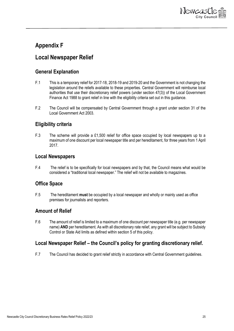

# <span id="page-24-0"></span>**Appendix F**

### <span id="page-24-1"></span>**Local Newspaper Relief**

#### <span id="page-24-2"></span>**General Explanation**

- F.1 This is a temporary relief for 2017-18, 2018-19 and 2019-20 and the Government is not changing the legislation around the reliefs available to these properties. Central Government will reimburse local authorities that use their discretionary relief powers (under section 47(3)) of the Local Government Finance Act 1988 to grant relief in line with the eligibility criteria set out in this guidance.
- F.2 The Council will be compensated by Central Government through a grant under section 31 of the Local Government Act 2003.

#### <span id="page-24-3"></span>**Eligibility criteria**

F.3 The scheme will provide a £1,500 relief for office space occupied by local newspapers up to a maximum of one discount per local newspaper title and per hereditament, for three years from 1 April 2017.

#### <span id="page-24-4"></span>**Local Newspapers**

F.4 The relief is to be specifically for local newspapers and by that, the Council means what would be considered a "traditional local newspaper." The relief will not be available to magazines.

### <span id="page-24-5"></span>**Office Space**

F.5 The hereditament **must** be occupied by a local newspaper and wholly or mainly used as office premises for journalists and reporters.

#### <span id="page-24-6"></span>**Amount of Relief**

F.6 The amount of relief is limited to a maximum of one discount per newspaper title (e.g. per newspaper name) **AND** per hereditament. As with all discretionary rate relief, any grant will be subject to Subsidy Control or State Aid limits as defined within section 5 of this policy.

#### <span id="page-24-7"></span>**Local Newspaper Relief – the Council's policy for granting discretionary relief.**

F.7 The Council has decided to grant relief strictly in accordance with Central Government guidelines.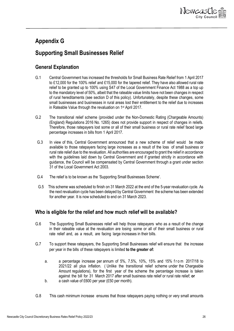

# <span id="page-25-0"></span>**Appendix G**

# <span id="page-25-1"></span>**Supporting Small Businesses Relief**

### <span id="page-25-2"></span>**General Explanation**

- G.1 Central Government has increased the thresholds for Small Business Rate Relief from 1 April 2017 to £12,000 for the 100% relief and £15,000 for the tapered relief. They have also allowed rural rate relief to be granted up to 100% using S47 of the Local Government Finance Act 1988 as a top up to the mandatory level of 50%, albeit that the rateable value limits have not been changes in respect of rural hereditaments (see section D of this policy). Unfortunately, despite these changes, some small businesses and businesses in rural areas lost their entitlement to the relief due to increases in Rateable Value through the revaluation on 1st April 2017.
- G.2 The transitional relief scheme (provided under the Non-Domestic Rating (Chargeable Amounts) (England) Regulations 2016 No. 1265) does not provide support in respect of changes in reliefs. Therefore, those ratepayers lost some or all of their small business or rural rate relief faced large percentage increases in bills from 1 April 2017.
- G.3 In view of this, Central Government announced that a new scheme of relief would be made available to those ratepayers facing large increases as a result of the loss of small business or rural rate relief due to the revaluation. All authorities are encouraged to grant the relief in accordance with the guidelines laid down by Central Government and if granted strictly in accordance with guidance, the Council will be compensated by Central Government through a grant under section 31 of the Local Government Act 2003.
- G.4 The relief is to be known as the 'Supporting Small Businesses Scheme'.
- G.5 This scheme was scheduled to finish on 31 March 2022 at the end of the 5-year revaluation cycle. As the next revaluation cycle has been delayed by Central Government the scheme has been extended for another year. It is now scheduled to end on 31 March 2023.

### <span id="page-25-3"></span>**Who is eligible for the relief and how much relief will be available?**

- G.6 The Supporting Small Businesses relief will help those ratepayers who as a result of the change in their rateable value at the revaluation are losing some or all of their small business or rural rate relief and, as a result, are facing large increases in their bills.
- G.7 To support these ratepayers, the Supporting Small Businesses relief will ensure that the increase per year in the bills of these ratepayers is limited **to the greater of:**
	- a. a percentage increase per annum of  $5\%$ ,  $7.5\%$ ,  $10\%$ ,  $15\%$  and  $15\%$  from  $2017/18$  to 2021/22 all plus inflation. ( Unlike the transitional relief scheme under the Chargeable Amount regulations), for the first year of the scheme the percentage increase is taken against the bill for 31 March 2017 after small business rate relief or rural rate relief; **or** b. a cash value of £600 per year (£50 per month).
- G.8 This cash minimum increase ensures that those ratepayers paying nothing or very small amounts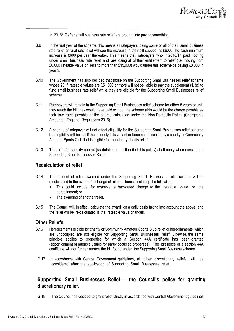

in 2016/17 after small business rate relief are brought into paying something.

- G.9 In the first year of the scheme, this means all ratepayers losing some or all of their small business rate relief or rural rate relief will see the increase in their bill capped at £600. The cash minimum increase is £600 per year thereafter. This means that ratepayers who in 2016/17 paid nothing under small business rate relief and are losing all of their entitlement to relief (i.e. moving from £6,000 rateable value or less to more than £15,000) would under this scheme be paying £3,000 in year 5.
- G.10 The Government has also decided that those on the Supporting Small Businesses relief scheme whose 2017 rateable values are £51,000 or more will not be liable to pay the supplement (1.3p) to fund small business rate relief while they are eligible for the Supporting Small Businesses relief scheme.
- G.11 Ratepayers will remain in the Supporting Small Businesses relief scheme for either 5 years or until they reach the bill they would have paid without the scheme (this would be the charge payable as their true rates payable or the charge calculated under the Non-Domestic Rating (Chargeable Amounts) (England) Regulations 2016).
- G.12 A change of ratepayer will not affect eligibility for the Supporting Small Businesses relief scheme **but** eligibility will be lost if the property falls vacant or becomes occupied by a charity or Community Amateur Sports Club that is eligible for mandatory charity relief.
- G.13 The rules for subsidy control (as detailed in section 5 of this policy) shall apply when considering Supporting Small Businesses Relief.

#### <span id="page-26-0"></span>**Recalculation of relief**

- G.14 The amount of relief awarded under the Supporting Small Businesses relief scheme will be recalculated in the event of a change of circumstances including the following:
	- This could include, for example, a backdated change to the rateable value or the hereditament; or
	- The awarding of another relief.
- G.15 The Council will, in effect, calculate the award on a daily basis taking into account the above, and the relief will be re-calculated if the rateable value changes.

#### <span id="page-26-1"></span>**Other Reliefs**

- G.16 Hereditaments eligible for charity or Community Amateur Sports Club relief or hereditaments which are unoccupied are not eligible for Supporting Small Businesses Relief. Likewise, the same principle applies to properties for which a Section 44A certificate has been granted (apportionment of rateable values for partly occupied properties). The presence of a section 44A certificate will not further reduce the bill found under the Supporting Small Business scheme.
- G.17 In accordance with Central Government guidelines, all other discretionary reliefs, will be considered **after** the application of Supporting Small Businesses relief.

#### <span id="page-26-2"></span>**Supporting Small Businesses Relief – the Council's policy for granting discretionary relief.**

G.18 The Council has decided to grant relief strictly in accordance with Central Government guidelines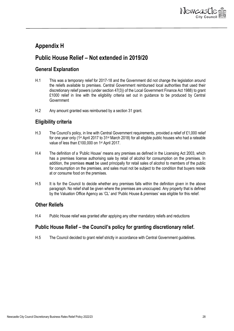

# <span id="page-27-0"></span>**Appendix H**

# <span id="page-27-1"></span>**Public House Relief – Not extended in 2019/20**

### <span id="page-27-2"></span>**General Explanation**

- H.1 This was a temporary relief for 2017-18 and the Government did not change the legislation around the reliefs available to premises. Central Government reimbursed local authorities that used their discretionary relief powers (under section 47(3)) of the Local Government Finance Act 1988) to grant £1000 relief in line with the eligibility criteria set out in guidance to be produced by Central **Government**
- H.2 Any amount granted was reimbursed by a section 31 grant.

#### <span id="page-27-3"></span>**Eligibility criteria**

- H.3 The Council's policy, in line with Central Government requirements, provided a relief of £1,000 relief for one year only (1st April 2017 to 31st March 2018) for all eligible public houses who had a rateable value of less than £100,000 on 1<sup>st</sup> April 2017.
- H.4 The definition of a 'Public House' means any premises as defined in the Licensing Act 2003, which has a premises license authorising sale by retail of alcohol for consumption on the premises. In addition, the premises **must** be used principally for retail sales of alcohol to members of the public for consumption on the premises, and sales must not be subject to the condition that buyers reside at or consume food on the premises.
- H.5 It is for the Council to decide whether any premises falls within the definition given in the above paragraph. No relief shall be given where the premises are unoccupied. Any property that is defined by the Valuation Office Agency as 'CL' and 'Public House & premises' was eligible for this relief.

### <span id="page-27-4"></span>**Other Reliefs**

H.4 Public House relief was granted after applying any other mandatory reliefs and reductions

### <span id="page-27-5"></span>**Public House Relief – the Council's policy for granting discretionary relief.**

H.5 The Council decided to grant relief strictly in accordance with Central Government guidelines.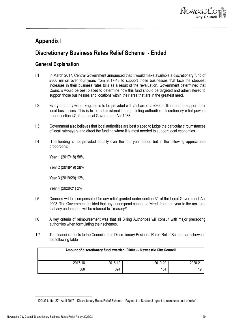

# <span id="page-28-0"></span>**Appendix I**

# <span id="page-28-1"></span>**Discretionary Business Rates Relief Scheme - Ended**

### <span id="page-28-2"></span>**General Explanation**

- I.1 In March 2017, Central Government announced that it would make available a discretionary fund of £300 million over four years from 2017-18 to support those businesses that face the steepest increases in their business rates bills as a result of the revaluation. Government determined that Councils would be best placed to determine how this fund should be targeted and administered to support those businesses and locations within their area that are in the greatest need.
- I.2 Every authority within England is to be provided with a share of a £300 million fund to support their local businesses. This is to be administered through billing authorities' discretionary relief powers under section 47 of the Local Government Act 1988.
- I.3 Government also believes that local authorities are best placed to judge the particular circumstances of local ratepayers and direct the funding where it is most needed to support local economies.
- I.4 The funding is not provided equally over the four-year period but in the following approximate proportions:

Year 1 (2017/18) 58%

Year 2 (2018/19) 28%

Year 3 (2019/20) 12%

Year 4 (2020/21) 2%

- I.5 Councils will be compensated for any relief granted under section 31 of the Local Government Act 2003. The Government decided that any underspend cannot be 'vired' from one year to the next and that any underspend will be returned to Treasury<sup>11</sup>.
- I.6 A key criteria of reimbursement was that all Billing Authorities will consult with major precepting authorities when formulating their schemes.
- 1.7 The financial effects to the Council of the Discretionary Business Rates Relief Scheme are shown in the following table

| Amount of discretionary fund awarded (£000s) - Newcastle City Council |         |         |         |
|-----------------------------------------------------------------------|---------|---------|---------|
| 2017-18                                                               | 2018-19 | 2019-20 | 2020-21 |
| 668                                                                   | 324     | 134     | 19      |

<sup>11</sup> DCLG Letter 27th April 2017 – Discretionary Rates Relief Scheme – Payment of Section 31 grant to reimburse cost of relief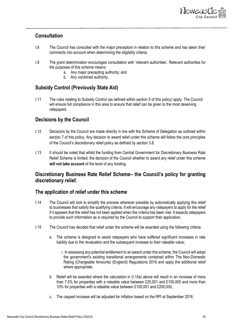

#### <span id="page-29-0"></span>**Consultation**

- I.8 The Council has consulted with the major preceptors in relation to this scheme and has taken their comments into account when determining the eligibility criteria.
- I.9 The grant determination encourages consultation with 'relevant authorities'. Relevant authorities for the purposes of this scheme means:
	- a. Any major precepting authority; and
	- b. Any combined authority.

### <span id="page-29-1"></span>**Subsidy Control (Previously State Aid)**

I.11 The rules relating to Subsidy Control (as defined within section 5 of this policy) apply. The Council will ensure full compliance in this area to ensure that relief can be given to the most deserving ratepayers.

#### <span id="page-29-2"></span>**Decisions by the Council**

- I.12 Decisions by the Council are made directly in line with the Scheme of Delegation as outlined within section 7 of this policy. Any decision to award relief under this scheme will follow the core principles of the Council's discretionary relief policy as defined by section 3.8.
- I.13 It should be noted that whilst the funding from Central Government for Discretionary Business Rate Relief Scheme is limited, the decision of the Council whether to award any relief under this scheme will not take account of the level of any funding.

### <span id="page-29-3"></span>**Discretionary Business Rate Relief Scheme– the Council's policy for granting discretionary relief.**

#### <span id="page-29-4"></span>**The application of relief under this scheme**

- I.14 The Council will look to simplify the process wherever possible by automatically applying this relief to businesses that satisfy the qualifying criteria. It will encourage any ratepayers to apply for the relief if it appears that the relief has not been applied when the criteria has been met. It expects ratepayers to provide such information as is required by the Council to support their application.
- I.15 The Council has decided that relief under the scheme will be awarded using the following criteria:
	- a. The scheme is designed to assist ratepayers who have suffered significant increases in rate liability due to the revaluation and the subsequent increase to their rateable value;
		- i. In assessing any potential entitlement to an award under this scheme, the Council will adopt the government's existing transitional arrangements contained within The Non-Domestic Rating (Chargeable Amounts) (England) Regulations 2016 and apply the additional relief where appropriate.
	- b. Relief will be awarded where the calculation in (I.15a) above will result in an increase of more than 7.5% for properties with a rateable value between £20,001 and £100,000 and more than 10% for properties with a rateable value between £100,001 and £200,000;
	- c. The capped increase will be adjusted for inflation based on the RPI at September 2016;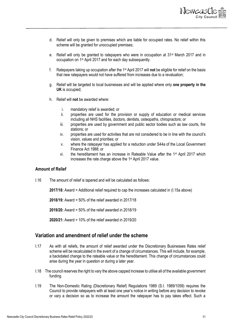

- d. Relief will only be given to premises which are liable for occupied rates. No relief within this scheme will be granted for unoccupied premises;
- e. Relief will only be granted to ratepayers who were in occupation at 31<sup>st</sup> March 2017 and in occupation on 1st April 2017 and for each day subsequently.
- f. Ratepayers taking up occupation after the 1st April 2017 will **not** be eligible for relief on the basis that new ratepayers would not have suffered from increases due to a revaluation;
- g. Relief will be targeted to local businesses and will be applied where only **one property in the UK** is occupied;
- h. Relief will **not** be awarded where:
	- i. mandatory relief is awarded; or<br>ii. properties are used for the p
	- properties are used for the provision or supply of education or medical services including all NHS facilities, doctors, dentists, osteopaths, chiropractors; or
	- iii. properties are used by government and public sector bodies such as law courts, fire stations; or
	- iv. properties are used for activities that are not considered to be in line with the council's vision, values and priorities; or
	- v. where the ratepayer has applied for a reduction under S44a of the Local Government Finance Act 1988; or
	- vi. the hereditament has an increase in Rateable Value after the  $1<sup>st</sup>$  April 2017 which increases the rate charge above the 1st April 2017 value.

#### <span id="page-30-0"></span>**Amount of Relief**

I.16 The amount of relief is tapered and will be calculated as follows:

**2017/18:** Award = Additional relief required to cap the increases calculated in (I.15a above)

**2018/19:** Award = 50% of the relief awarded in 2017/18

**2019/20:** Award = 50% of the relief awarded in 2018/19

**2020/21:** Award = 10% of the relief awarded in 2019/20

#### <span id="page-30-1"></span>**Variation and amendment of relief under the scheme**

- I.17 As with all reliefs, the amount of relief awarded under the Discretionary Businesses Rates relief scheme will be recalculated in the event of a change of circumstances. This will include, for example, a backdated change to the rateable value or the hereditament. This change of circumstances could arise during the year in question or during a later year.
- I.18 The council reserves the right to vary the above capped increase to utilise all of the available government funding.
- I.19 The Non-Domestic Rating (Discretionary Relief) Regulations 1989 (S.I. 1989/1059) requires the Council to provide ratepayers with at least one year's notice in writing before any decision to revoke or vary a decision so as to increase the amount the ratepayer has to pay takes effect. Such a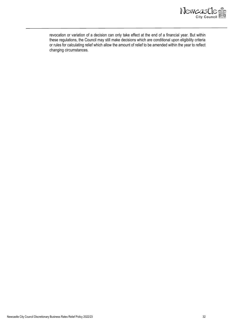

revocation or variation of a decision can only take effect at the end of a financial year. But within these regulations, the Council may still make decisions which are conditional upon eligibility criteria or rules for calculating relief which allow the amount of relief to be amended within the year to reflect changing circumstances.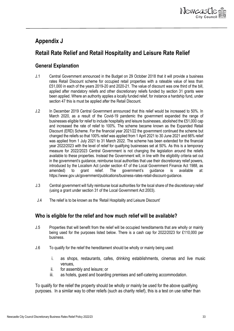

# <span id="page-32-0"></span>**Appendix J**

# <span id="page-32-1"></span>**Retail Rate Relief and Retail Hospitality and Leisure Rate Relief**

### <span id="page-32-2"></span>**General Explanation**

- J.1 Central Government announced in the Budget on 29 October 2018 that it will provide a business rates Retail Discount scheme for occupied retail properties with a rateable value of less than £51,000 in each of the years 2019-20 and 2020-21. The value of discount was one third of the bill, applied after mandatory reliefs and other discretionary reliefs funded by section 31 grants were been applied. Where an authority applies a locally funded relief, for instance a hardship fund, under section 47 this is must be applied after the Retail Discount.
- J.2 In December 2019 Central Government announced that this relief would be increased to 50%. In March 2020, as a result of the Covid-19 pandemic the government expanded the range of businesses eligible for relief to include hospitality and leisure businesses, abolished the £51,000 cap and increased the rate of relief to 100%. The scheme became known as the Expanded Retail Discount (ERD) Scheme. For the financial year 2021/22 the government continued the scheme but changed the reliefs so that 100% relief was applied from 1 April 2021 to 30 June 2021 and 66% relief was applied from 1 July 2021 to 31 March 2022. The scheme has been extended for the financial year 2022/2023 with the level of relief for qualifying businesses set at 50%. As this is a temporary measure for 2022/2023 Central Government is not changing the legislation around the reliefs available to these properties. Instead the Government will, in line with the eligibility criteria set out in the government's guidance, reimburse local authorities that use their discretionary relief powers, introduced by the Localism Act (under section 47 of the Local Government Finance Act 1988, as amended) to grant relief. The government's guidance is available at: amended) to grant relief. The government's guidance is available at: https://www.gov.uk/government/publications/business-rates-retail-discount-guidance.
- J.3 Central government will fully reimburse local authorities for the local share of the discretionary relief (using a grant under section 31 of the Local Government Act 2003).
- J.4 The relief is to be known as the 'Retail Hospitality and Leisure Discount'

### <span id="page-32-3"></span>**Who is eligible for the relief and how much relief will be available?**

- J.5 Properties that will benefit from the relief will be occupied hereditaments that are wholly or mainly being used for the purposes listed below. There is a cash cap for 2022/2023 for £110,000 per business.
- J.6 To qualify for the relief the hereditament should be wholly or mainly being used:
	- i. as shops, restaurants, cafes, drinking establishments, cinemas and live music venues,
	- ii. for assembly and leisure; or
	- iii. as hotels, guest and boarding premises and self-catering accommodation.

To qualify for the relief the property should be wholly or mainly be used for the above qualifying purposes. In a similar way to other reliefs (such as charity relief), this is a test on use rather than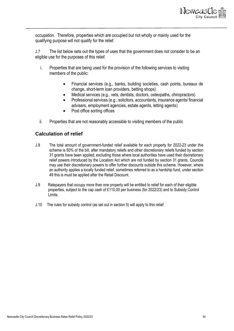

occupation. Therefore, properties which are occupied but not wholly or mainly used for the qualifying purpose will not qualify for the relief.

J.7 The list below sets out the types of uses that the government does not consider to be an eligible use for the purposes of this relief.

- i. Properties that are being used for the provision of the following services to visiting members of the public:
	- Financial services (e.g., banks, building societies, cash points, bureaux de change, short-term loan providers, betting shops)
	- Medical services (e.g., vets, dentists, doctors, osteopaths, chiropractors)
	- Professional services (e.g., solicitors, accountants, insurance agents/ financial advisers, employment agencies, estate agents, letting agents)
	- Post office sorting offices
- ii. Properties that are not reasonably accessible to visiting members of the public

#### **Calculation of relief**

- J.8 The total amount of government-funded relief available for each property for 2022-23 under this scheme is 50% of the bill, after mandatory reliefs and other discretionary reliefs funded by section 31 grants have been applied, excluding those where local authorities have used their discretionary relief powers introduced by the Localism Act which are not funded by section 31 grants. Councils may use their discretionary powers to offer further discounts outside this scheme. However, where an authority applies a locally funded relief, sometimes referred to as a hardship fund, under section 49 this is must be applied after the Retail Discount.
- J.9 Ratepayers that occupy more than one property will be entitled to relief for each of their eligible properties, subject to the cap cash of £110,00 per business (for 2022/23) and to Subsidy Control Limits.
- J.10 The rules for subsidy control (as set out in section 5) will apply to this relief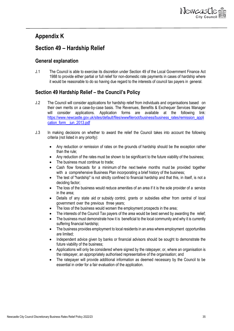

### <span id="page-34-0"></span>**Appendix K**

### <span id="page-34-1"></span>**Section 49 – Hardship Relief**

#### <span id="page-34-2"></span>**General explanation**

J.1 The Council is able to exercise its discretion under Section 49 of the Local Government Finance Act 1988 to provide either partial or full relief for non-domestic rate payments in cases of hardship where it would be reasonable to do so having due regard to the interests of council tax payers in general.

### <span id="page-34-3"></span>**Section 49 Hardship Relief – the Council's Policy**

- J.2 The Council will consider applications for hardship relief from individuals and organisations based on their own merits on a case-by-case basis. The Revenues, Benefits & Exchequer Services Manager will consider applications. Application forms are available at the following link: [https://www.newcastle.gov.uk/sites/default/files/wwwfileroot/business/business\\_rates/remission\\_appli](https://www.newcastle.gov.uk/sites/default/files/wwwfileroot/business/business_rates/remission_application_form__jun_2013.pdf) [cation\\_form\\_\\_jun\\_2013.pdf](https://www.newcastle.gov.uk/sites/default/files/wwwfileroot/business/business_rates/remission_application_form__jun_2013.pdf)
- J.3 In making decisions on whether to award the relief the Council takes into account the following criteria (not listed in any priority):
	- Any reduction or remission of rates on the grounds of hardship should be the exception rather than the rule;
	- Any reduction of the rates must be shown to be significant to the future viability of the business;
	- The business must continue to trade:
	- Cash flow forecasts for a minimum of the next twelve months must be provided together with a comprehensive Business Plan incorporating a brief history of the business;
	- The test of "hardship" is not strictly confined to financial hardship and that this, in itself, is not a deciding factor;
	- The loss of the business would reduce amenities of an area if it is the sole provider of a service in the area;
	- Details of any state aid or subsidy control, grants or subsidies either from central of local government over the previous three years;
	- The loss of the business would worsen the employment prospects in the area;
	- The interests of the Council Tax payers of the area would be best served by awarding the relief;
	- The business must demonstrate how it is beneficial to the local community and why it is currently suffering financial hardship;
	- The business provides employment to local residents in an area where employment opportunities are limited;
	- Independent advice given by banks or financial advisors should be sought to demonstrate the future viability of the business;
	- Applications will only be considered where signed by the ratepayer, or, where an organisation is the ratepayer, an appropriately authorised representative of the organisation; and
	- The ratepayer will provide additional information as deemed necessary by the Council to be essential in order for a fair evaluation of the application.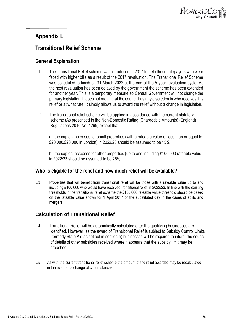

### <span id="page-35-0"></span>**Appendix L**

### <span id="page-35-1"></span>**Transitional Relief Scheme**

### <span id="page-35-2"></span>**General Explanation**

- L.1 The Transitional Relief scheme was introduced in 2017 to help those ratepayers who were faced with higher bills as a result of the 2017 revaluation. The Transitional Relief Scheme was scheduled to finish on 31 March 2022 at the end of the 5-year revaluation cycle. As the next revaluation has been delayed by the government the scheme has been extended for another year. This is a temporary measure so Central Government will not change the primary legislation. It does not mean that the council has any discretion in who receives this relief or at what rate. It simply allows us to award the relief without a change in legislation.
- L.2 The transitional relief scheme will be applied in accordance with the current statutory scheme (As prescribed in the Non-Domestic Rating (Chargeable Amounts) (England) Regulations 2016 No. 1265) except that:

a. the cap on increases for small properties (with a rateable value of less than or equal to £20,000/£28,000 in London) in 2022/23 should be assumed to be 15%

b. the cap on increases for other properties (up to and including £100,000 rateable value) in 2022/23 should be assumed to be 25%

### <span id="page-35-3"></span>**Who is eligible for the relief and how much relief will be available?**

L.3 Properties that will benefit from transitional relief will be those with a rateable value up to and including £100,000 who would have received transitional relief in 2022/23. In line with the existing thresholds in the transitional relief scheme the £100,000 rateable value threshold should be based on the rateable value shown for 1 April 2017 or the substituted day in the cases of splits and mergers.

### **Calculation of Transitional Relief**

- L.4 Transitional Relief will be automatically calculated after the qualifying businesses are identified. However, as the award of Transitional Relief is subject to Subsidy Control Limits (formerly State Aid as set out in section 5) businesses will be required to inform the council of details of other subsidies received where it appears that the subsidy limit may be breached.
- L.5 As with the current transitional relief scheme the amount of the relief awarded may be recalculated in the event of a change of circumstances.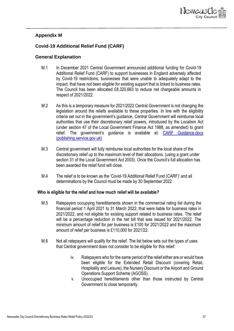

#### <span id="page-36-0"></span>**Appendix M**

#### <span id="page-36-1"></span>**Covid-19 Additional Relief Fund (CARF)**

#### <span id="page-36-2"></span>**General Explanation**

- M.1 In December 2021 Central Government announced additional funding for Covid-19 Additional Relief Fund (CARF) to support businesses in England adversely affected by Covid-19 restrictions; businesses that were unable to adequately adapt to the impact, that have not been eligible for existing support that is linked to business rates. The Council has been allocated £8,320,663 to reduce net chargeable amounts in respect of 2021/2022.
- M.2 As this is a temporary measure for 2021/2022 Central Government is not changing the legislation around the reliefs available to these properties. In line with the eligibility criteria set out in the government's guidance, Central Government will reimburse local authorities that use their discretionary relief powers, introduced by the Localism Act (under section 47 of the Local Government Finance Act 1988, as amended) to grant relief. The government's guidance is available at: [CARF Guidance.docx](https://assets.publishing.service.gov.uk/government/uploads/system/uploads/attachment_data/file/1041468/CARF_LA_Guidance.pdf)  [\(publishing.service.gov.uk\)](https://assets.publishing.service.gov.uk/government/uploads/system/uploads/attachment_data/file/1041468/CARF_LA_Guidance.pdf)
- M.3 Central government will fully reimburse local authorities for the local share of the discretionary relief up to the maximum level of their allocations. (using a grant under section 31 of the Local Government Act 2003). Once the Council's full allocation has been awarded the relief fund will close.
- M.4 The relief is to be known as the 'Covid-19 Additional Relief Fund (CARF)' and all determinations by the Council must be made by 30 September 2022

#### **Who is eligible for the relief and how much relief will be available?**

- M.5 Ratepayers occupying hereditaments shown in the commercial rating list during the financial period 1 April 2021 to 31 March 2022, that were liable for business rates in 2021/2022, and not eligible for existing support related to business rates. The relief will be a percentage reduction in the net bill that was issued for 2021/2022. The minimum amount of relief for per business is £100 for 2021/2022 and the maximum amount of relief per business is £110,000 for 2021/22.
- M.6 Not all ratepayers will qualify for the relief. The list below sets out the types of uses that Central government does not consider to be eligible for this relief:
	- iv. Ratepayers who for the same period of the relief either are or would have been eligible for the Extended Retail Discount (covering Retail, Hospitality and Leisure), the Nursery Discount or the Airport and Ground Operations Support Scheme (AGOSS).
	- v. Unoccupied hereditaments other than those instructed by Central Government to close temporarily.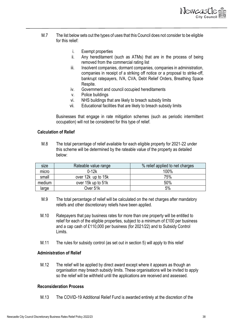

- M.7 The list below sets out the types of uses that this Council does not consider to be eligible for this relief:
	- i. Exempt properties
	- ii. Any hereditament (such as ATMs) that are in the process of being removed from the commercial rating list
	- iii. Insolvent companies, dormant companies, companies in administration, companies in receipt of a striking off notice or a proposal to strike-off, bankrupt ratepayers, IVA, CVA, Debt Relief Orders, Breathing Space Respite.
	- iv. Government and council occupied hereditaments
	- v. Police buildings
	- vi. NHS buildings that are likely to breach subsidy limits
	- vii. Educational facilities that are likely to breach subsidy limits

Businesses that engage in rate mitigation schemes (such as periodic intermittent occupation) will not be considered for this type of relief.

#### <span id="page-37-0"></span>**Calculation of Relief**

M.8 The total percentage of relief available for each eligible property for 2021-22 under this scheme will be determined by the rateable value of the property as detailed below:

| size   | Rateable value range | % relief applied to net charges |
|--------|----------------------|---------------------------------|
| micro  | $0-12k$              | 100%                            |
| small  | over 12k up to 15k   | 75%                             |
| medium | over 15k up to 51k   | 50%                             |
| large  | Over 51k             | 5%                              |

- M.9 The total percentage of relief will be calculated on the net charges after mandatory reliefs and other discretionary reliefs have been applied.
- M.10 Ratepayers that pay business rates for more than one property will be entitled to relief for each of the eligible properties, subject to a minimum of £100 per business and a cap cash of £110,000 per business (for 2021/22) and to Subsidy Control Limits.
- M.11 The rules for subsidy control (as set out in section 5) will apply to this relief

#### <span id="page-37-1"></span>**Administration of Relief**

M.12 The relief will be applied by direct award except where it appears as though an organisation may breach subsidy limits. These organisations will be invited to apply so the relief will be withheld until the applications are received and assessed.

#### **Reconsideration Process**

M.13 The COVID-19 Additional Relief Fund is awarded entirely at the discretion of the